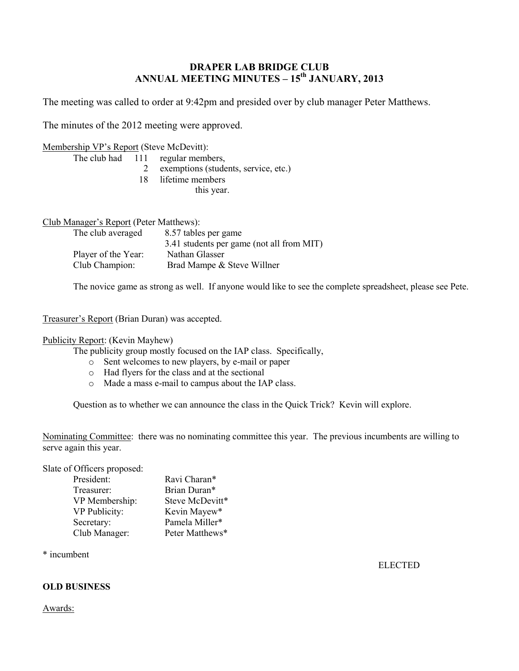# **DRAPER LAB BRIDGE CLUB ANNUAL MEETING MINUTES – 15 th JANUARY, 2013**

The meeting was called to order at 9:42pm and presided over by club manager Peter Matthews.

The minutes of the 2012 meeting were approved.

### Membership VP's Report (Steve McDevitt):

The club had 111 regular members,

- 2 exemptions (students, service, etc.)
- 18 lifetime members

this year.

#### Club Manager's Report (Peter Matthews):

| The club averaged   | 8.57 tables per game                      |
|---------------------|-------------------------------------------|
|                     | 3.41 students per game (not all from MIT) |
| Player of the Year: | Nathan Glasser                            |
| Club Champion:      | Brad Mampe & Steve Willner                |

The novice game as strong as well. If anyone would like to see the complete spreadsheet, please see Pete.

## Treasurer's Report (Brian Duran) was accepted.

# Publicity Report: (Kevin Mayhew)

The publicity group mostly focused on the IAP class. Specifically,

- o Sent welcomes to new players, by e-mail or paper
- o Had flyers for the class and at the sectional
- o Made a mass e-mail to campus about the IAP class.

Question as to whether we can announce the class in the Quick Trick? Kevin will explore.

Nominating Committee: there was no nominating committee this year. The previous incumbents are willing to serve again this year.

Slate of Officers proposed:

| President:     | Ravi Charan*    |
|----------------|-----------------|
| Treasurer:     | Brian Duran*    |
| VP Membership: | Steve McDevitt* |
| VP Publicity:  | Kevin Mayew*    |
| Secretary:     | Pamela Miller*  |
| Club Manager:  | Peter Matthews* |
|                |                 |

\* incumbent

ELECTED

# **OLD BUSINESS**

#### Awards: